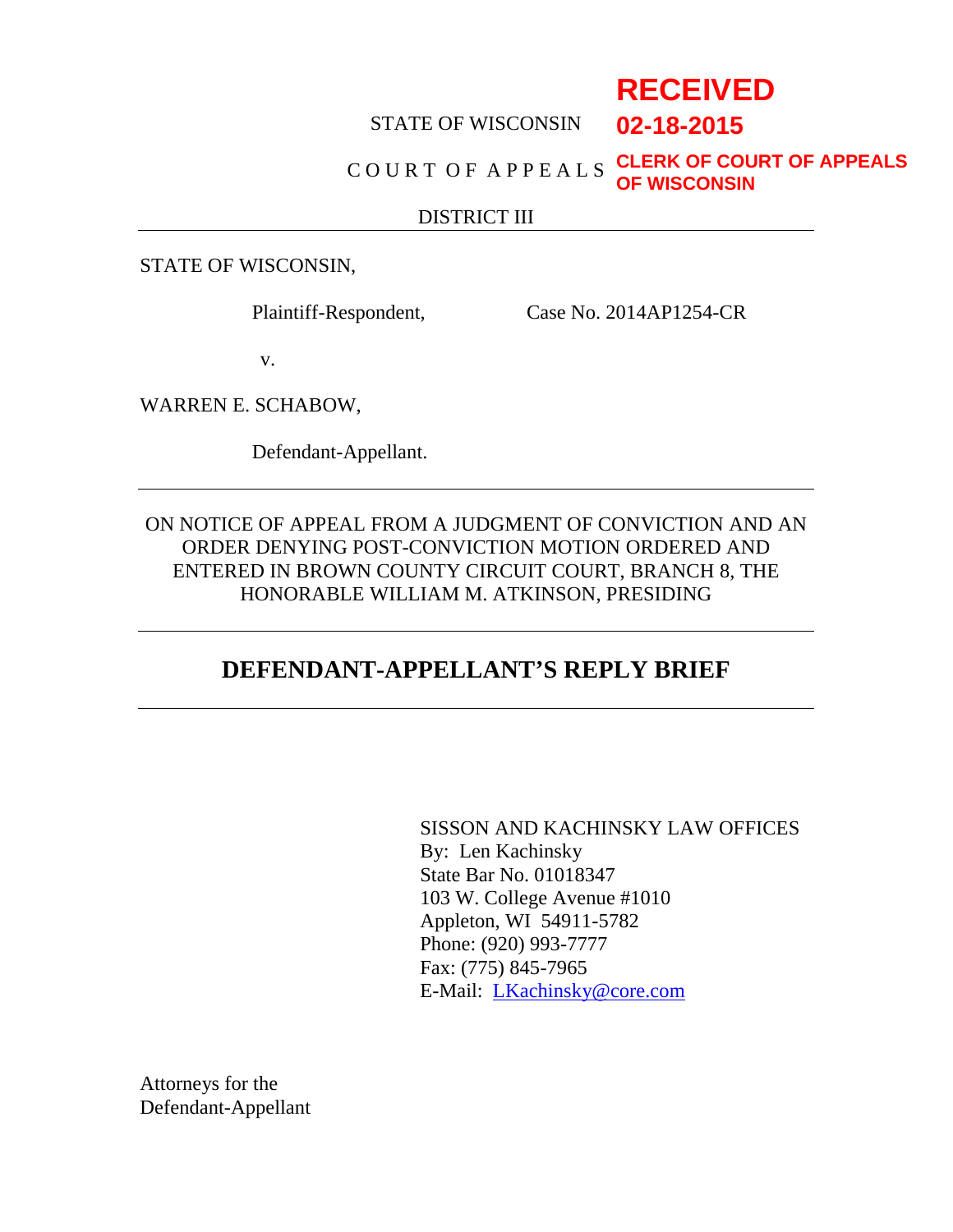# **RECEIVED**

**02-18-2015**

#### STATE OF WISCONSIN

#### C O U R T O F A P P E A L S **CLERK OF COURT OF APPEALS OF WISCONSIN**

#### DISTRICT III

STATE OF WISCONSIN,

Plaintiff-Respondent, Case No. 2014AP1254-CR

v.

WARREN E. SCHABOW,

Defendant-Appellant.

ON NOTICE OF APPEAL FROM A JUDGMENT OF CONVICTION AND AN ORDER DENYING POST-CONVICTION MOTION ORDERED AND ENTERED IN BROWN COUNTY CIRCUIT COURT, BRANCH 8, THE HONORABLE WILLIAM M. ATKINSON, PRESIDING

### **DEFENDANT-APPELLANT'S REPLY BRIEF**

SISSON AND KACHINSKY LAW OFFICES By: Len Kachinsky State Bar No. 01018347 103 W. College Avenue #1010 Appleton, WI 54911-5782 Phone: (920) 993-7777 Fax: (775) 845-7965 E-Mail: LKachinsky@core.com

Attorneys for the Defendant-Appellant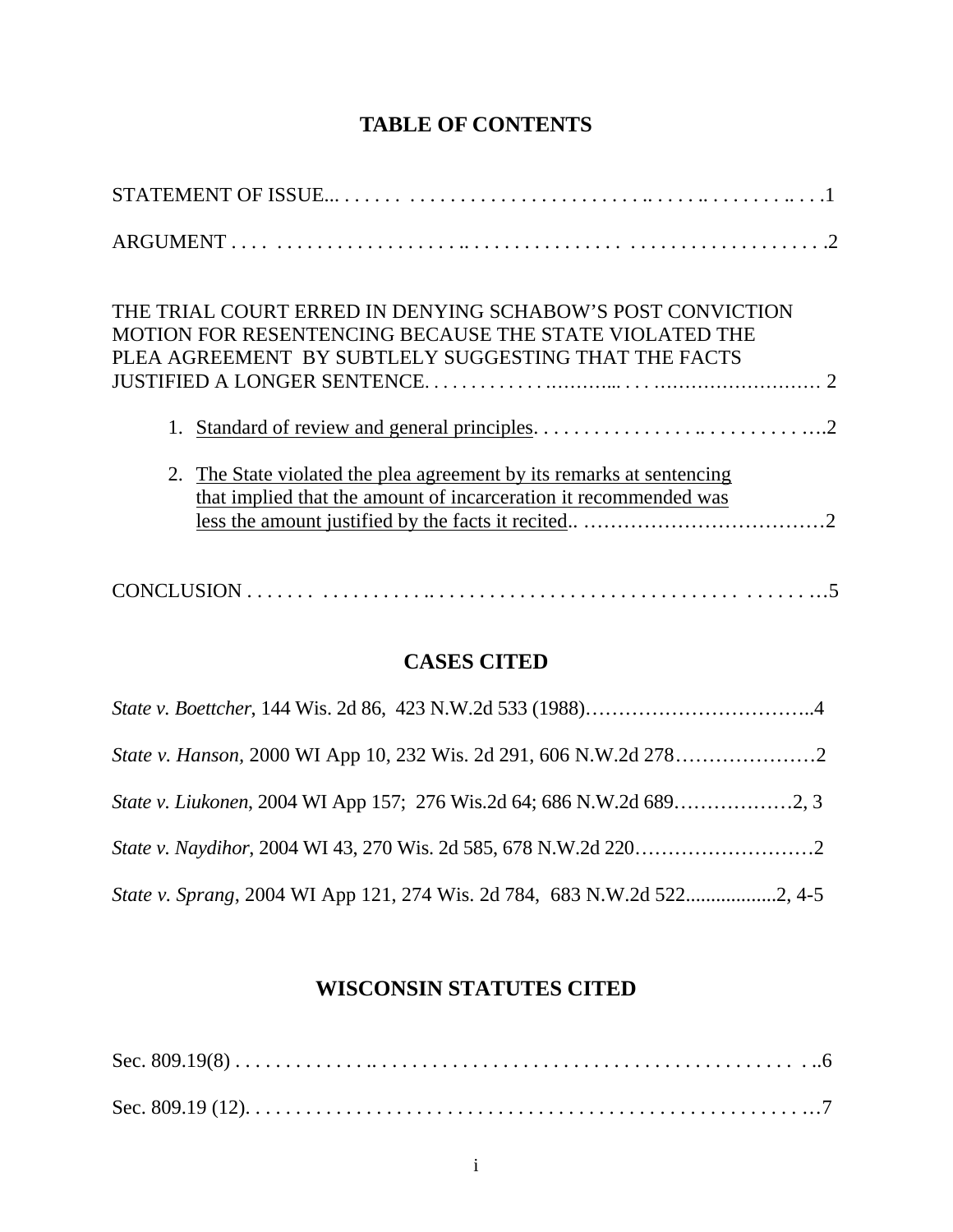### **TABLE OF CONTENTS**

| THE TRIAL COURT ERRED IN DENYING SCHABOW'S POST CONVICTION<br><b>MOTION FOR RESENTENCING BECAUSE THE STATE VIOLATED THE</b><br>PLEA AGREEMENT BY SUBTLELY SUGGESTING THAT THE FACTS |
|-------------------------------------------------------------------------------------------------------------------------------------------------------------------------------------|
|                                                                                                                                                                                     |
| The State violated the plea agreement by its remarks at sentencing<br>2.<br>that implied that the amount of incarceration it recommended was                                        |
|                                                                                                                                                                                     |

### **CASES CITED**

## **WISCONSIN STATUTES CITED**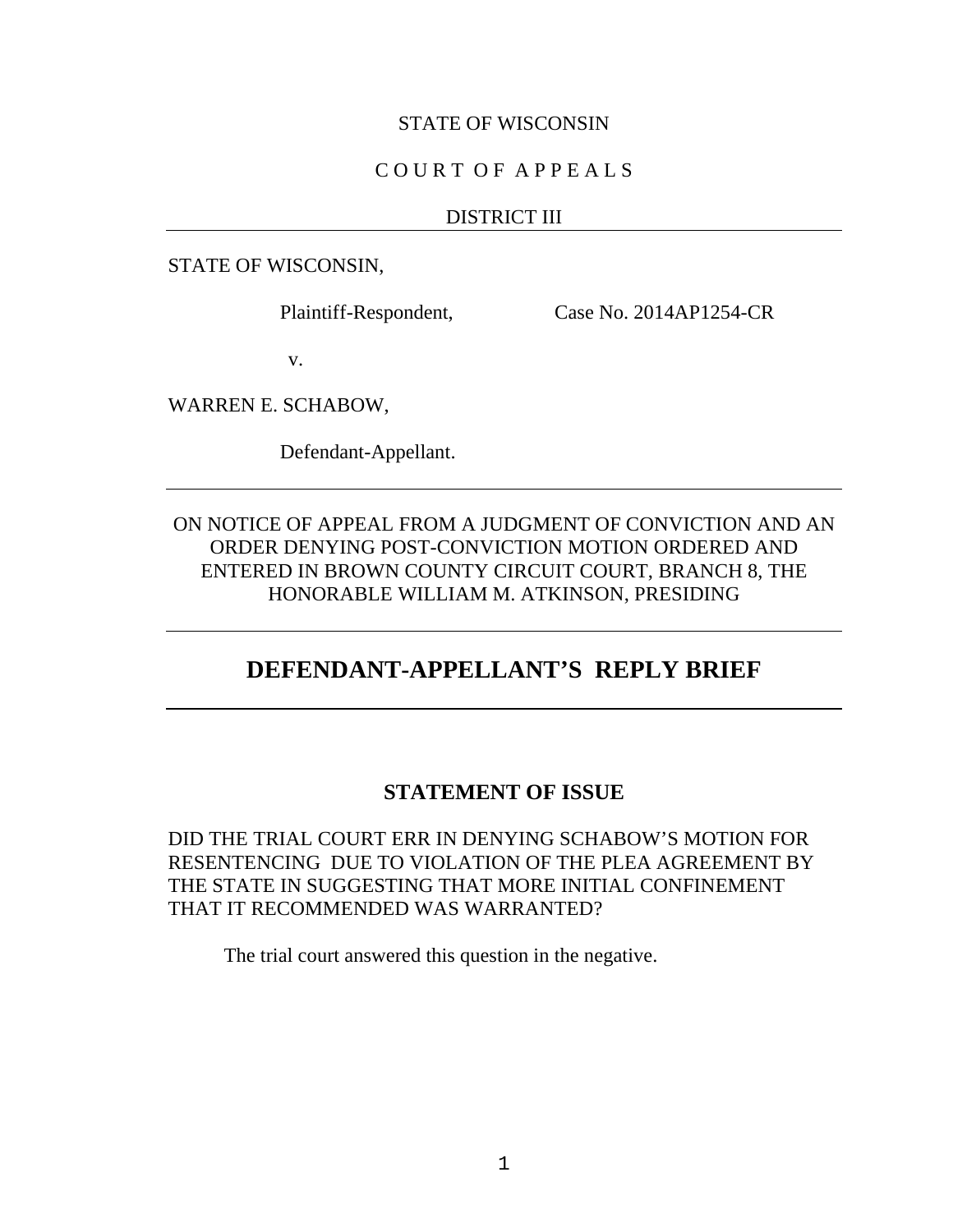#### STATE OF WISCONSIN

#### C O U R T O F A P P E A L S

#### DISTRICT III

STATE OF WISCONSIN,

Plaintiff-Respondent, Case No. 2014AP1254-CR

v.

WARREN E. SCHABOW,

Defendant-Appellant.

ON NOTICE OF APPEAL FROM A JUDGMENT OF CONVICTION AND AN ORDER DENYING POST-CONVICTION MOTION ORDERED AND ENTERED IN BROWN COUNTY CIRCUIT COURT, BRANCH 8, THE HONORABLE WILLIAM M. ATKINSON, PRESIDING

### **DEFENDANT-APPELLANT'S REPLY BRIEF**

#### **STATEMENT OF ISSUE**

DID THE TRIAL COURT ERR IN DENYING SCHABOW'S MOTION FOR RESENTENCING DUE TO VIOLATION OF THE PLEA AGREEMENT BY THE STATE IN SUGGESTING THAT MORE INITIAL CONFINEMENT THAT IT RECOMMENDED WAS WARRANTED?

The trial court answered this question in the negative.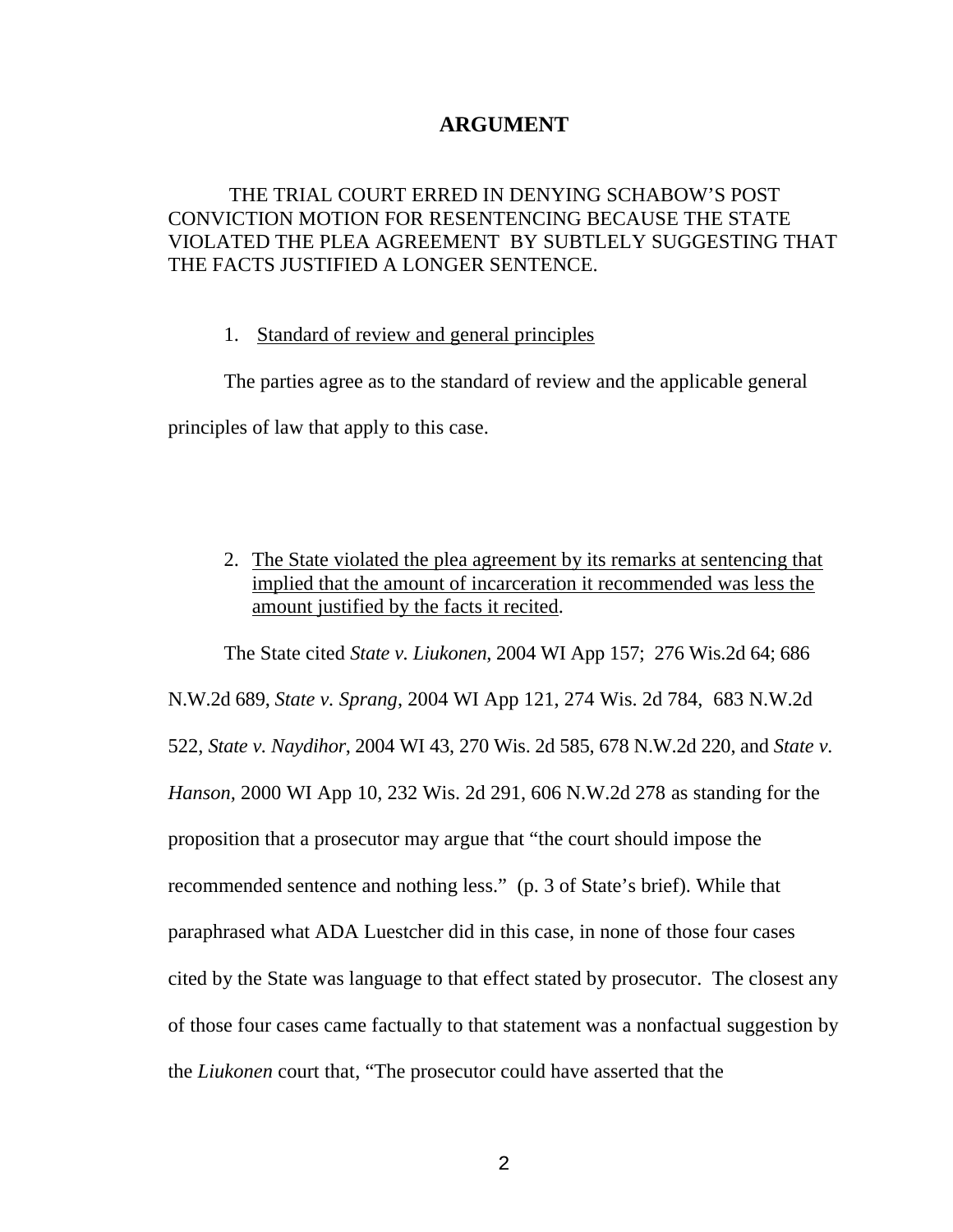#### **ARGUMENT**

#### THE TRIAL COURT ERRED IN DENYING SCHABOW'S POST CONVICTION MOTION FOR RESENTENCING BECAUSE THE STATE VIOLATED THE PLEA AGREEMENT BY SUBTLELY SUGGESTING THAT THE FACTS JUSTIFIED A LONGER SENTENCE.

#### 1. Standard of review and general principles

The parties agree as to the standard of review and the applicable general principles of law that apply to this case.

2. The State violated the plea agreement by its remarks at sentencing that implied that the amount of incarceration it recommended was less the amount justified by the facts it recited.

The State cited *State v. Liukonen*, 2004 WI App 157; 276 Wis.2d 64; 686 N.W.2d 689, *State v. Sprang*, 2004 WI App 121, 274 Wis. 2d 784, 683 N.W.2d 522, *State v. Naydihor*, 2004 WI 43, 270 Wis. 2d 585, 678 N.W.2d 220, and *State v. Hanson,* 2000 WI App 10, 232 Wis. 2d 291, 606 N.W.2d 278 as standing for the proposition that a prosecutor may argue that "the court should impose the recommended sentence and nothing less." (p. 3 of State's brief). While that paraphrased what ADA Luestcher did in this case, in none of those four cases cited by the State was language to that effect stated by prosecutor. The closest any of those four cases came factually to that statement was a nonfactual suggestion by the *Liukonen* court that, "The prosecutor could have asserted that the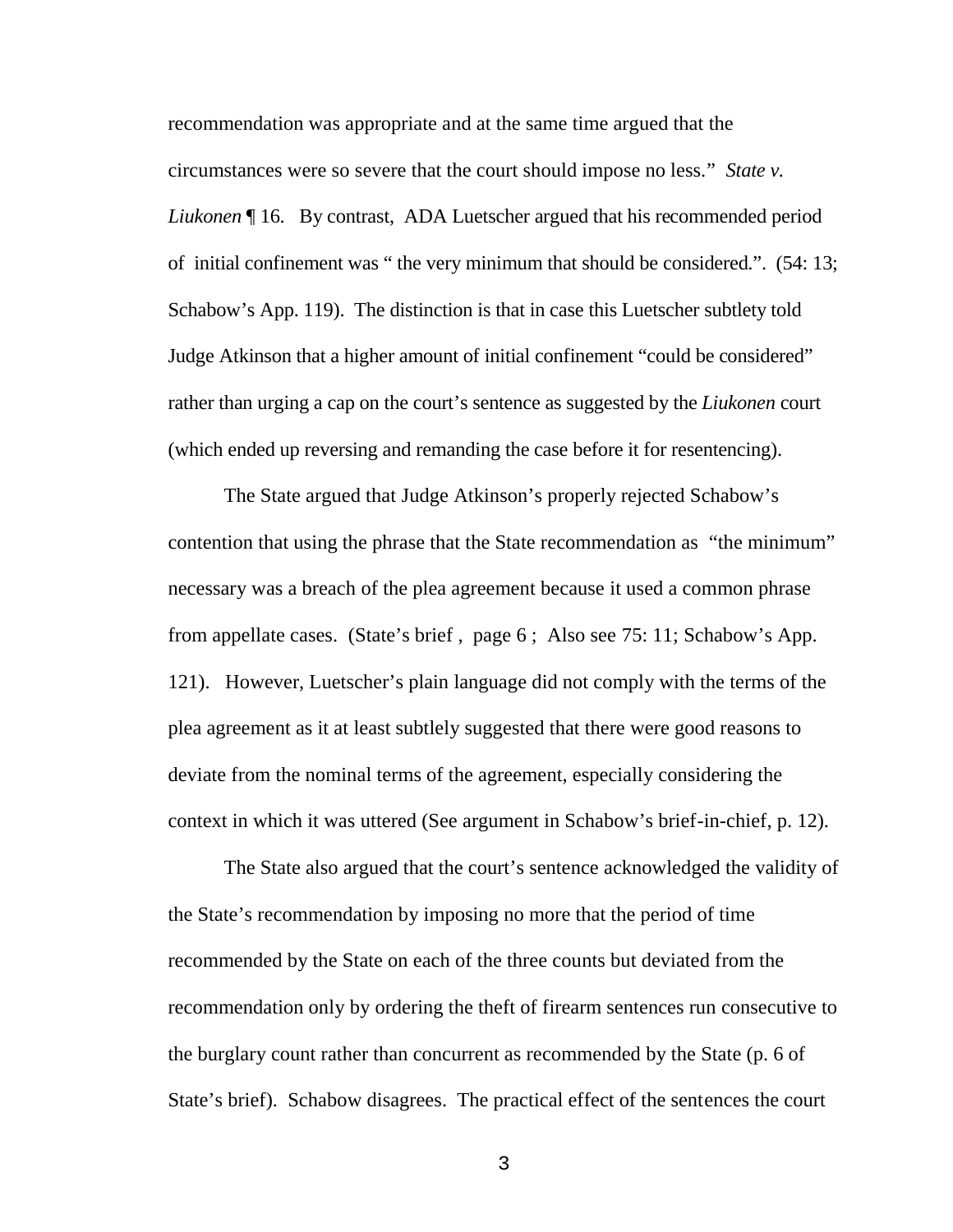recommendation was appropriate and at the same time argued that the circumstances were so severe that the court should impose no less." *State v. Liukonen* ¶ 16. By contrast, ADA Luetscher argued that his recommended period of initial confinement was " the very minimum that should be considered.". (54: 13; Schabow's App. 119). The distinction is that in case this Luetscher subtlety told Judge Atkinson that a higher amount of initial confinement "could be considered" rather than urging a cap on the court's sentence as suggested by the *Liukonen* court (which ended up reversing and remanding the case before it for resentencing).

The State argued that Judge Atkinson's properly rejected Schabow's contention that using the phrase that the State recommendation as "the minimum" necessary was a breach of the plea agreement because it used a common phrase from appellate cases. (State's brief , page 6 ; Also see 75: 11; Schabow's App. 121). However, Luetscher's plain language did not comply with the terms of the plea agreement as it at least subtlely suggested that there were good reasons to deviate from the nominal terms of the agreement, especially considering the context in which it was uttered (See argument in Schabow's brief-in-chief, p. 12).

The State also argued that the court's sentence acknowledged the validity of the State's recommendation by imposing no more that the period of time recommended by the State on each of the three counts but deviated from the recommendation only by ordering the theft of firearm sentences run consecutive to the burglary count rather than concurrent as recommended by the State (p. 6 of State's brief). Schabow disagrees. The practical effect of the sentences the court

3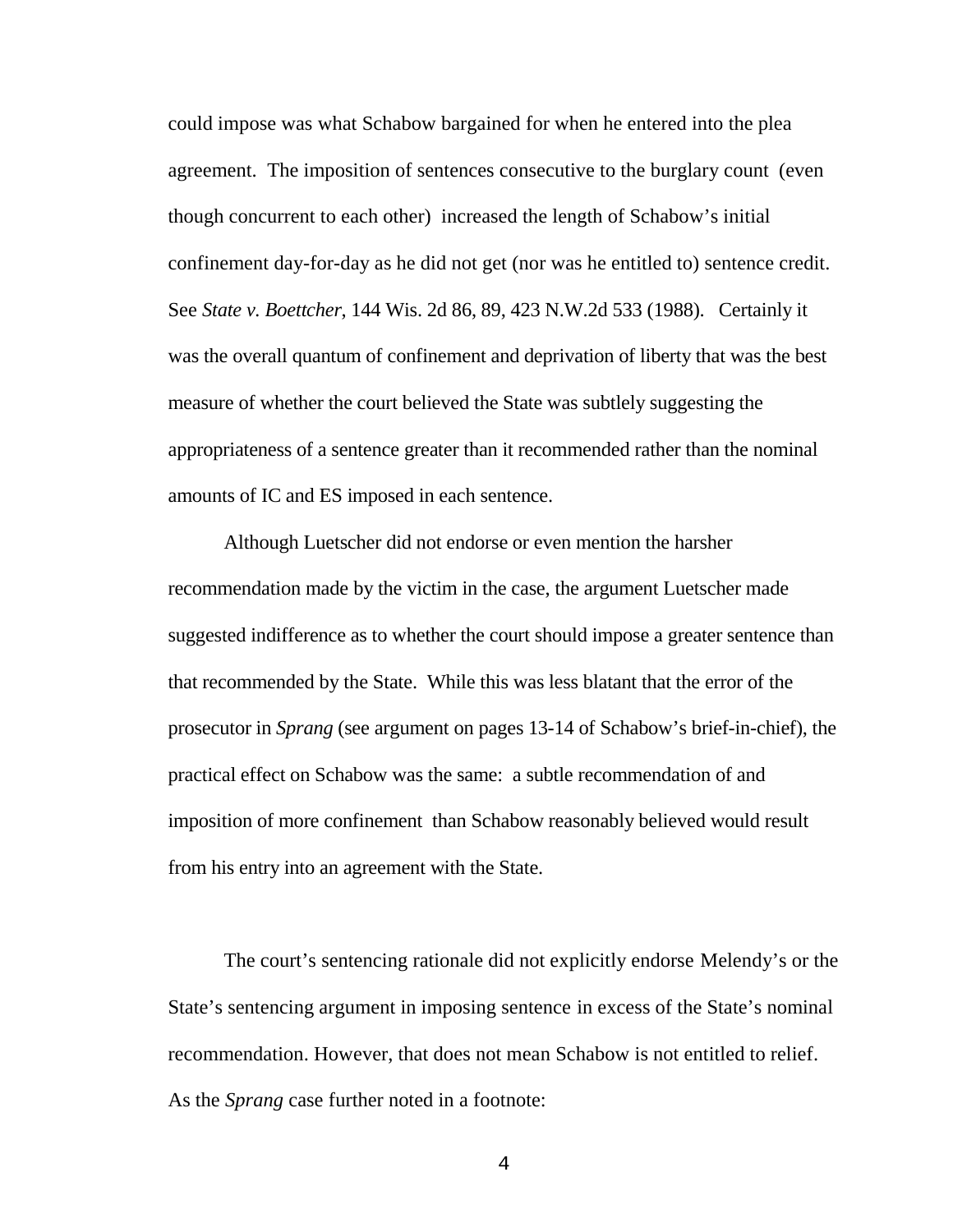could impose was what Schabow bargained for when he entered into the plea agreement. The imposition of sentences consecutive to the burglary count (even though concurrent to each other) increased the length of Schabow's initial confinement day-for-day as he did not get (nor was he entitled to) sentence credit. See *State v. Boettcher*, 144 Wis. 2d 86, 89, 423 N.W.2d 533 (1988). Certainly it was the overall quantum of confinement and deprivation of liberty that was the best measure of whether the court believed the State was subtlely suggesting the appropriateness of a sentence greater than it recommended rather than the nominal amounts of IC and ES imposed in each sentence.

Although Luetscher did not endorse or even mention the harsher recommendation made by the victim in the case, the argument Luetscher made suggested indifference as to whether the court should impose a greater sentence than that recommended by the State. While this was less blatant that the error of the prosecutor in *Sprang* (see argument on pages 13-14 of Schabow's brief-in-chief), the practical effect on Schabow was the same: a subtle recommendation of and imposition of more confinement than Schabow reasonably believed would result from his entry into an agreement with the State.

The court's sentencing rationale did not explicitly endorse Melendy's or the State's sentencing argument in imposing sentence in excess of the State's nominal recommendation. However, that does not mean Schabow is not entitled to relief. As the *Sprang* case further noted in a footnote: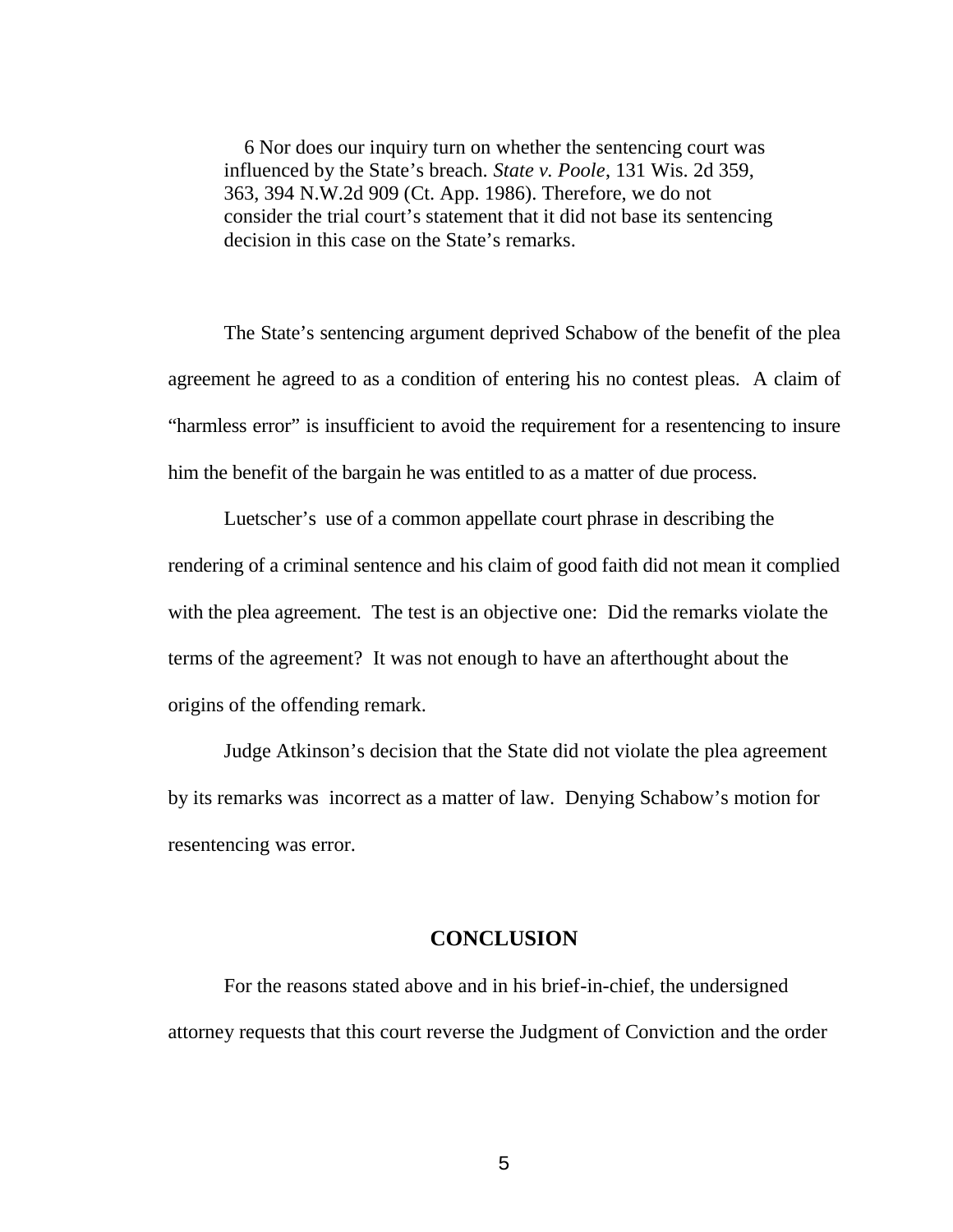6 Nor does our inquiry turn on whether the sentencing court was influenced by the State's breach. *State v. Poole*, 131 Wis. 2d 359, 363, 394 N.W.2d 909 (Ct. App. 1986). Therefore, we do not consider the trial court's statement that it did not base its sentencing decision in this case on the State's remarks.

The State's sentencing argument deprived Schabow of the benefit of the plea agreement he agreed to as a condition of entering his no contest pleas. A claim of "harmless error" is insufficient to avoid the requirement for a resentencing to insure him the benefit of the bargain he was entitled to as a matter of due process.

Luetscher's use of a common appellate court phrase in describing the rendering of a criminal sentence and his claim of good faith did not mean it complied with the plea agreement. The test is an objective one: Did the remarks violate the terms of the agreement? It was not enough to have an afterthought about the origins of the offending remark.

Judge Atkinson's decision that the State did not violate the plea agreement by its remarks was incorrect as a matter of law. Denying Schabow's motion for resentencing was error.

#### **CONCLUSION**

For the reasons stated above and in his brief-in-chief, the undersigned attorney requests that this court reverse the Judgment of Conviction and the order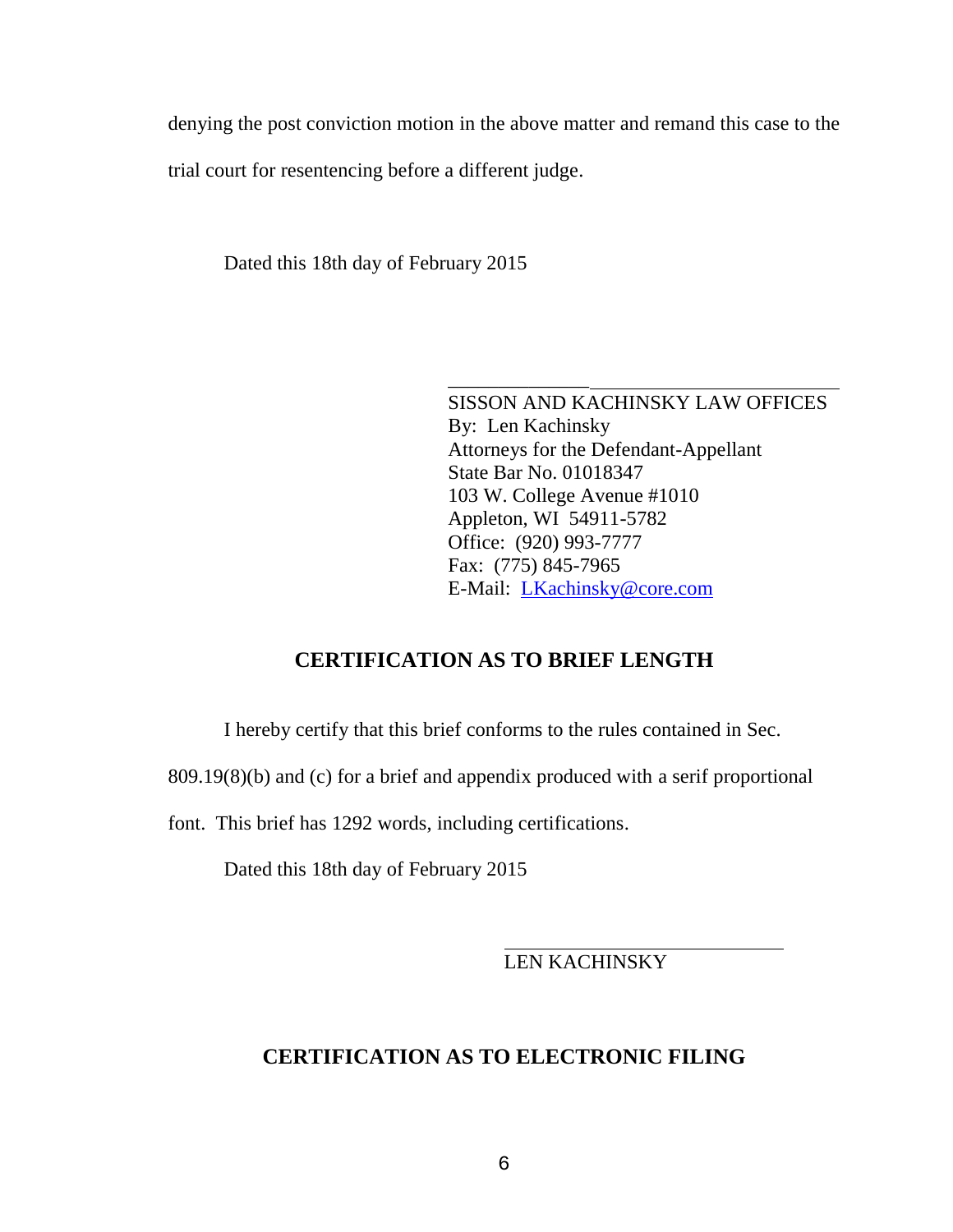denying the post conviction motion in the above matter and remand this case to the trial court for resentencing before a different judge.

Dated this 18th day of February 2015

\_\_\_\_\_\_\_\_\_\_\_\_\_\_ SISSON AND KACHINSKY LAW OFFICES By: Len Kachinsky Attorneys for the Defendant-Appellant State Bar No. 01018347 103 W. College Avenue #1010 Appleton, WI 54911-5782 Office: (920) 993-7777 Fax: (775) 845-7965 E-Mail: LKachinsky@core.com

### **CERTIFICATION AS TO BRIEF LENGTH**

I hereby certify that this brief conforms to the rules contained in Sec.

809.19(8)(b) and (c) for a brief and appendix produced with a serif proportional

font. This brief has 1292 words, including certifications.

Dated this 18th day of February 2015

LEN KACHINSKY

#### **CERTIFICATION AS TO ELECTRONIC FILING**